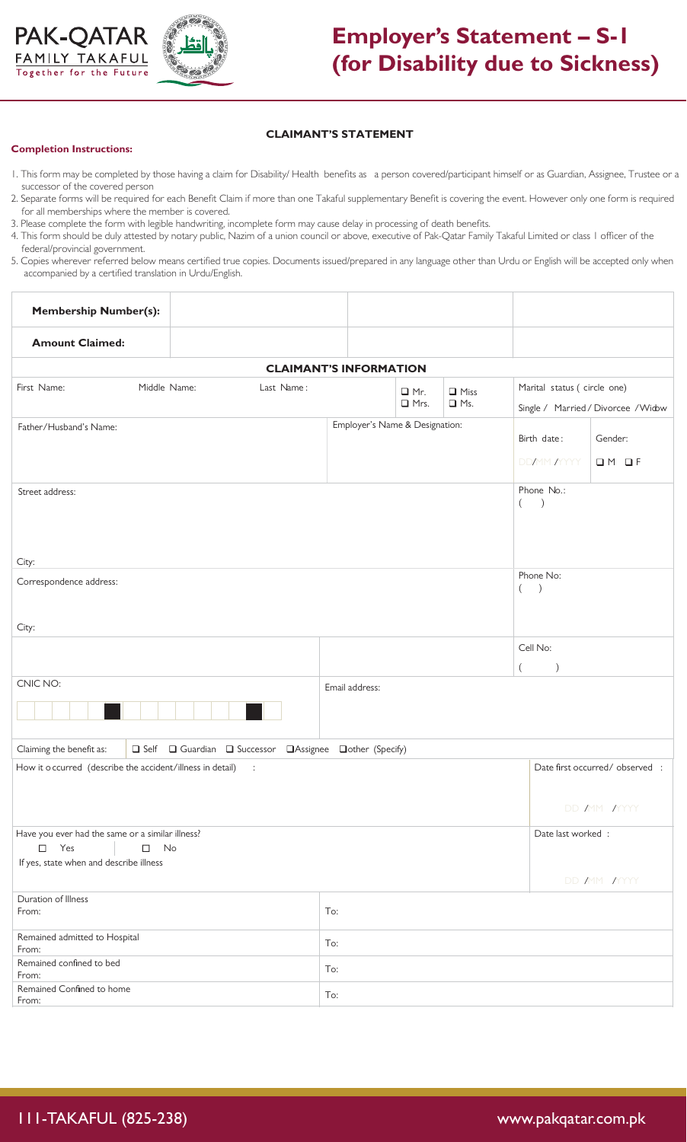



## **Employer's Statement – S-1 (for Disability due to Sickness)**

## **CLAIMANT'S STATEMENT**

## **Completion Instructions:**

- 1. This form may be completed by those having a claim for Disability/ Health benefits as a person covered/participant himself or as Guardian, Assignee, Trustee or a successor of the covered person
- 2. Separate forms will be required for each Benefit Claim if more than one Takaful supplementary Benefit is covering the event. However only one form is required for all memberships where the member is covered.
- 3. Please complete the form with legible handwriting, incomplete form may cause delay in processing of death benefits.
- 4. This form should be duly attested by notary public, Nazim of a union council or above, executive of Pak-Qatar Family Takaful Limited or class 1 officer of the federal/provincial government.
- 5. Copies wherever referred below means certified true copies. Documents issued/prepared in any language other than Urdu or English will be accepted only when accompanied by a certified translation in Urdu/English.

| <b>Membership Number(s):</b>                                                           |     |             |            |                           |                              |                                     |                             |  |  |
|----------------------------------------------------------------------------------------|-----|-------------|------------|---------------------------|------------------------------|-------------------------------------|-----------------------------|--|--|
| <b>Amount Claimed:</b>                                                                 |     |             |            |                           |                              |                                     |                             |  |  |
| <b>CLAIMANT'S INFORMATION</b>                                                          |     |             |            |                           |                              |                                     |                             |  |  |
| First Name:<br>Middle Name:<br>Last Name:                                              |     |             | $\Box$ Mr. |                           | Marital status ( circle one) |                                     |                             |  |  |
|                                                                                        |     | $\Box$ Mrs. |            | $\Box$ Miss<br>$\Box$ Ms. |                              | Single / Married / Divorcee / Widow |                             |  |  |
| Employer's Name & Designation:<br>Father/Husband's Name:                               |     |             |            |                           |                              |                                     |                             |  |  |
|                                                                                        |     |             |            |                           | Birth date:<br>Gender:       |                                     |                             |  |  |
|                                                                                        |     |             |            |                           |                              | DD/MM /YYYY                         | $OM$ OF                     |  |  |
| Street address:<br>$\left($                                                            |     |             |            |                           |                              |                                     | Phone No.:<br>$\rightarrow$ |  |  |
| City:                                                                                  |     |             |            |                           |                              |                                     |                             |  |  |
| Correspondence address:                                                                |     |             |            |                           |                              | Phone No:<br>(                      |                             |  |  |
| City:                                                                                  |     |             |            |                           |                              |                                     |                             |  |  |
|                                                                                        |     |             |            |                           |                              | Cell No:                            |                             |  |  |
|                                                                                        |     |             |            |                           |                              |                                     |                             |  |  |
| CNIC NO:<br>Email address:                                                             |     |             |            |                           |                              |                                     |                             |  |  |
|                                                                                        |     |             |            |                           |                              |                                     |                             |  |  |
| Claiming the benefit as:<br>□ Self □ Guardian □ Successor □ Assignee □ other (Specify) |     |             |            |                           |                              |                                     |                             |  |  |
| How it o ccurred (describe the accident/illness in detail)<br>$\sim$ 1.                |     |             |            |                           |                              | Date first occurred/observed :      |                             |  |  |
|                                                                                        |     |             |            |                           |                              | DD MM MYYY                          |                             |  |  |
| Have you ever had the same or a similar illness?<br>Yes<br>$\Box$<br>No<br>$\Box$      |     |             |            |                           |                              | Date last worked:                   |                             |  |  |
| If yes, state when and describe illness                                                |     |             |            |                           |                              |                                     |                             |  |  |
|                                                                                        |     |             |            |                           |                              |                                     | DD MM MYYY                  |  |  |
| Duration of Illness<br>From:                                                           | To: |             |            |                           |                              |                                     |                             |  |  |
| Remained admitted to Hospital<br>To:<br>From:                                          |     |             |            |                           |                              |                                     |                             |  |  |
| Remained confined to bed<br>From:                                                      | To: |             |            |                           |                              |                                     |                             |  |  |
| Remained Confined to home<br>From:                                                     | To: |             |            |                           |                              |                                     |                             |  |  |